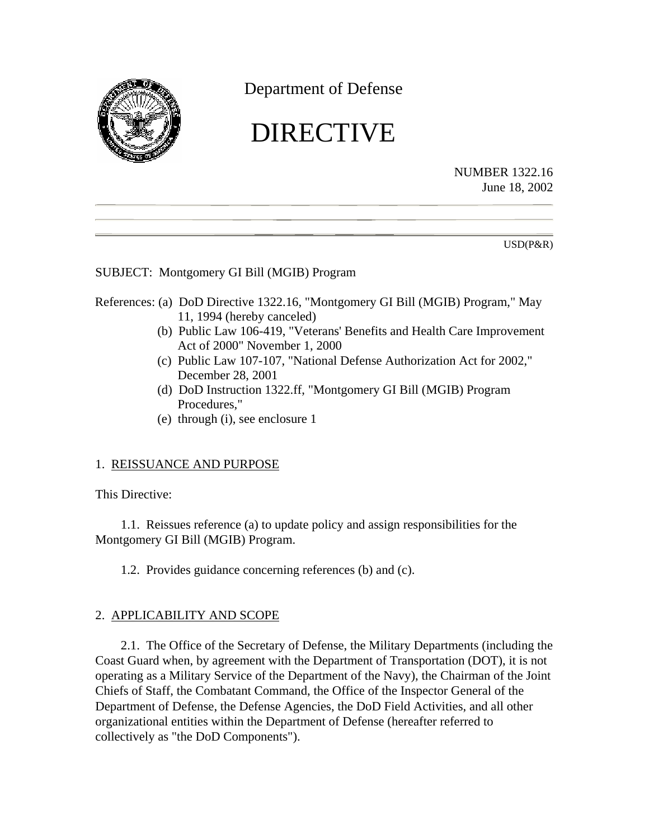<span id="page-0-0"></span>

Department of Defense

# DIRECTIVE

NUMBER 1322.16 June 18, 2002

USD(P&R)

SUBJECT: Montgomery GI Bill (MGIB) Program

## References: (a) DoD Directive 1322.16, "Montgomery GI Bill (MGIB) Program," May 11, 1994 (hereby canceled)

- (b) Public Law 106-419, "Veterans' Benefits and Health Care Improvement Act of 2000" November 1, 2000
- (c) Public Law 107-107, "National Defense Authorization Act for 2002," December 28, 2001
- (d) DoD Instruction 1322.ff, "Montgomery GI Bill (MGIB) Program Procedures,"
- (e) through (i), see enclosure 1

# 1. REISSUANCE AND PURPOSE

This Directive:

1.1. Reissues reference (a) to update policy and assign responsibilities for the Montgomery GI Bill (MGIB) Program.

1.2. Provides guidance concerning references (b) and (c).

# 2. APPLICABILITY AND SCOPE

2.1. The Office of the Secretary of Defense, the Military Departments (including the Coast Guard when, by agreement with the Department of Transportation (DOT), it is not operating as a Military Service of the Department of the Navy), the Chairman of the Joint Chiefs of Staff, the Combatant Command, the Office of the Inspector General of the Department of Defense, the Defense Agencies, the DoD Field Activities, and all other organizational entities within the Department of Defense (hereafter referred to collectively as "the DoD Components").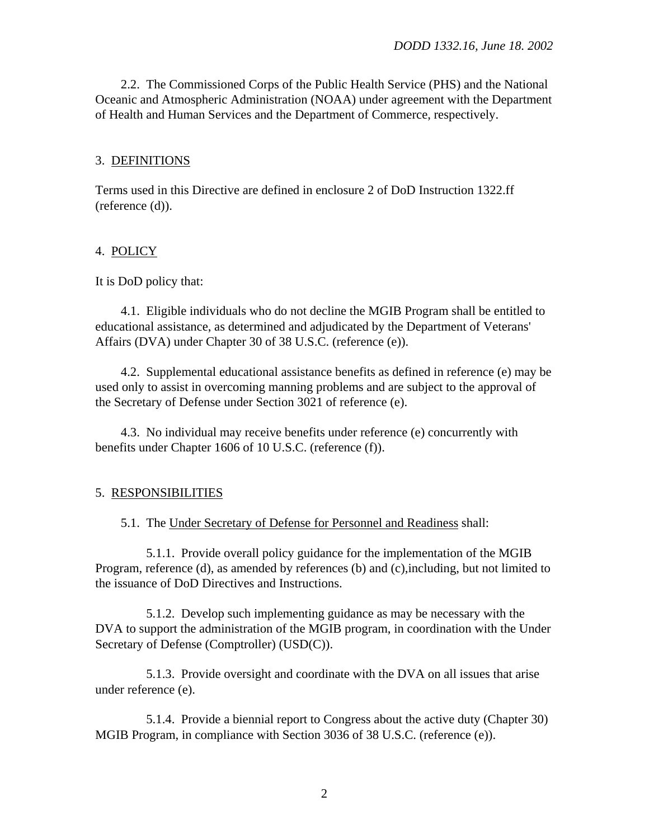2.2. The Commissioned Corps of the Public Health Service (PHS) and the National Oceanic and Atmospheric Administration (NOAA) under agreement with the Department of Health and Human Services and the Department of Commerce, respectively.

#### 3. DEFINITIONS

Terms used in this Directive are defined in enclosure 2 of DoD Instruction 1322.ff (reference (d)).

#### 4. POLICY

#### It is DoD policy that:

4.1. Eligible individuals who do not decline the MGIB Program shall be entitled to educational assistance, as determined and adjudicated by the Department of Veterans' Affairs (DVA) under Chapter 30 of 38 U.S.C. (reference (e)).

4.2. Supplemental educational assistance benefits as defined in reference (e) may be used only to assist in overcoming manning problems and are subject to the approval of the Secretary of Defense under Section 3021 of reference (e).

4.3. No individual may receive benefits under reference (e) concurrently with benefits under Chapter 1606 of 10 U.S.C. (reference (f)).

#### 5. RESPONSIBILITIES

5.1. The Under Secretary of Defense for Personnel and Readiness shall:

5.1.1. Provide overall policy guidance for the implementation of the MGIB Program, [reference \(d\),](#page-0-0) as amended by [references \(b\)](#page-0-0) and [\(c\),](#page-0-0)including, but not limited to the issuance of DoD Directives and Instructions.

5.1.2. Develop such implementing guidance as may be necessary with the DVA to support the administration of the MGIB program, in coordination with the Under Secretary of Defense (Comptroller) (USD(C)).

5.1.3. Provide oversight and coordinate with the DVA on all issues that arise under [reference \(e\).](#page-5-0)

5.1.4. Provide a biennial report to Congress about the active duty (Chapter 30) MGIB Program, in compliance with Section 3036 of 38 U.S.C. [\(reference \(e\)\).](#page-5-0)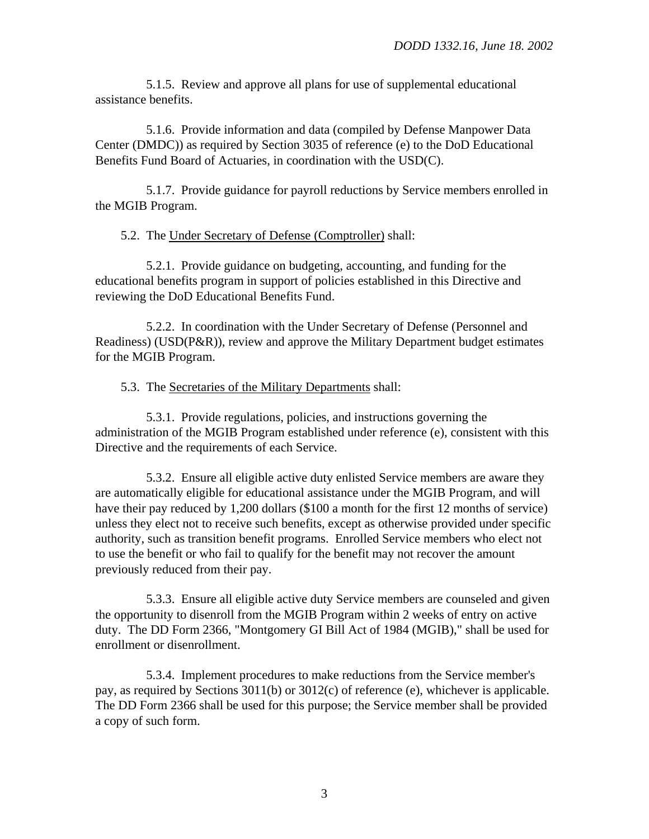5.1.5. Review and approve all plans for use of supplemental educational assistance benefits.

5.1.6. Provide information and data (compiled by Defense Manpower Data Center (DMDC)) as required by Section 3035 of reference (e) to the DoD Educational Benefits Fund Board of Actuaries, in coordination with the USD(C).

5.1.7. Provide guidance for payroll reductions by Service members enrolled in the MGIB Program.

#### 5.2. The Under Secretary of Defense (Comptroller) shall:

5.2.1. Provide guidance on budgeting, accounting, and funding for the educational benefits program in support of policies established in this Directive and reviewing the DoD Educational Benefits Fund.

5.2.2. In coordination with the Under Secretary of Defense (Personnel and Readiness) (USD(P&R)), review and approve the Military Department budget estimates for the MGIB Program.

#### 5.3. The Secretaries of the Military Departments shall:

5.3.1. Provide regulations, policies, and instructions governing the administration of the MGIB Program established under reference (e), consistent with this Directive and the requirements of each Service.

5.3.2. Ensure all eligible active duty enlisted Service members are aware they are automatically eligible for educational assistance under the MGIB Program, and will have their pay reduced by 1,200 dollars (\$100 a month for the first 12 months of service) unless they elect not to receive such benefits, except as otherwise provided under specific authority, such as transition benefit programs. Enrolled Service members who elect not to use the benefit or who fail to qualify for the benefit may not recover the amount previously reduced from their pay.

5.3.3. Ensure all eligible active duty Service members are counseled and given the opportunity to disenroll from the MGIB Program within 2 weeks of entry on active duty. The DD Form 2366, "Montgomery GI Bill Act of 1984 (MGIB)," shall be used for enrollment or disenrollment.

5.3.4. Implement procedures to make reductions from the Service member's pay, as required by Sections 3011(b) or 3012(c) of reference (e), whichever is applicable. The DD Form 2366 shall be used for this purpose; the Service member shall be provided a copy of such form.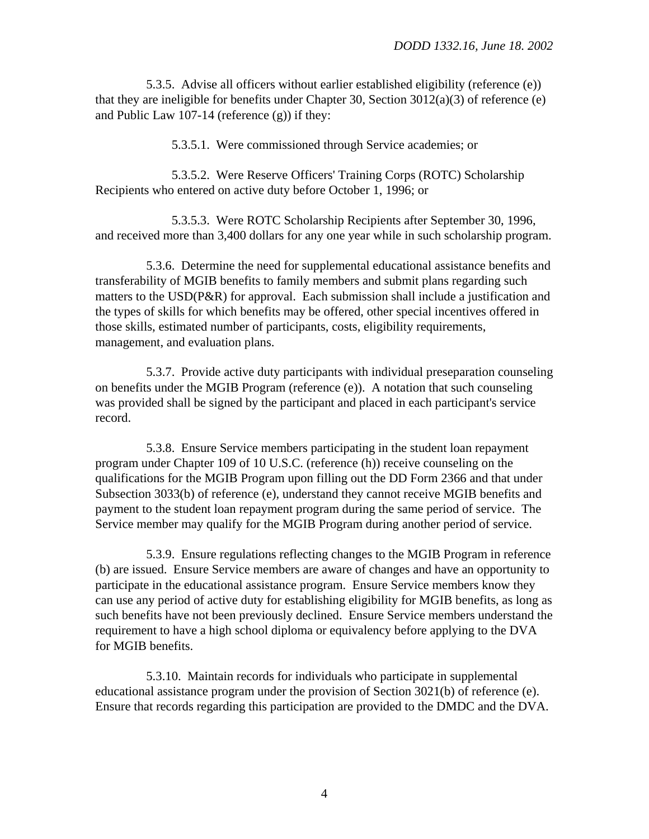5.3.5. Advise all officers without earlier established eligibility [\(reference \(e\)\)](#page-5-0) that they are ineligible for benefits under Chapter 30, Section 3012(a)(3) of reference (e) and Public Law 107-14 [\(reference \(g\)\)](#page-5-0) if they:

5.3.5.1. Were commissioned through Service academies; or

5.3.5.2. Were Reserve Officers' Training Corps (ROTC) Scholarship Recipients who entered on active duty before October 1, 1996; or

5.3.5.3. Were ROTC Scholarship Recipients after September 30, 1996, and received more than 3,400 dollars for any one year while in such scholarship program.

5.3.6. Determine the need for supplemental educational assistance benefits and transferability of MGIB benefits to family members and submit plans regarding such matters to the USD(P&R) for approval. Each submission shall include a justification and the types of skills for which benefits may be offered, other special incentives offered in those skills, estimated number of participants, costs, eligibility requirements, management, and evaluation plans.

5.3.7. Provide active duty participants with individual preseparation counseling on benefits under the MGIB Program [\(reference \(e\)\).](#page-5-0) A notation that such counseling was provided shall be signed by the participant and placed in each participant's service record.

5.3.8. Ensure Service members participating in the student loan repayment program under Chapter 109 of 10 U.S.C. [\(reference \(h\)\)](#page-5-0) receive counseling on the qualifications for the MGIB Program upon filling out the DD Form 2366 and that under Subsection 3033(b) of [reference \(e\),](#page-5-0) understand they cannot receive MGIB benefits and payment to the student loan repayment program during the same period of service. The Service member may qualify for the MGIB Program during another period of service.

5.3.9. Ensure regulations reflecting changes to the MGIB Program in [reference](#page-0-0)  [\(b\)](#page-0-0) are issued. Ensure Service members are aware of changes and have an opportunity to participate in the educational assistance program. Ensure Service members know they can use any period of active duty for establishing eligibility for MGIB benefits, as long as such benefits have not been previously declined. Ensure Service members understand the requirement to have a high school diploma or equivalency before applying to the DVA for MGIB benefits.

5.3.10. Maintain records for individuals who participate in supplemental educational assistance program under the provision of Section 3021(b) of reference (e). Ensure that records regarding this participation are provided to the DMDC and the DVA.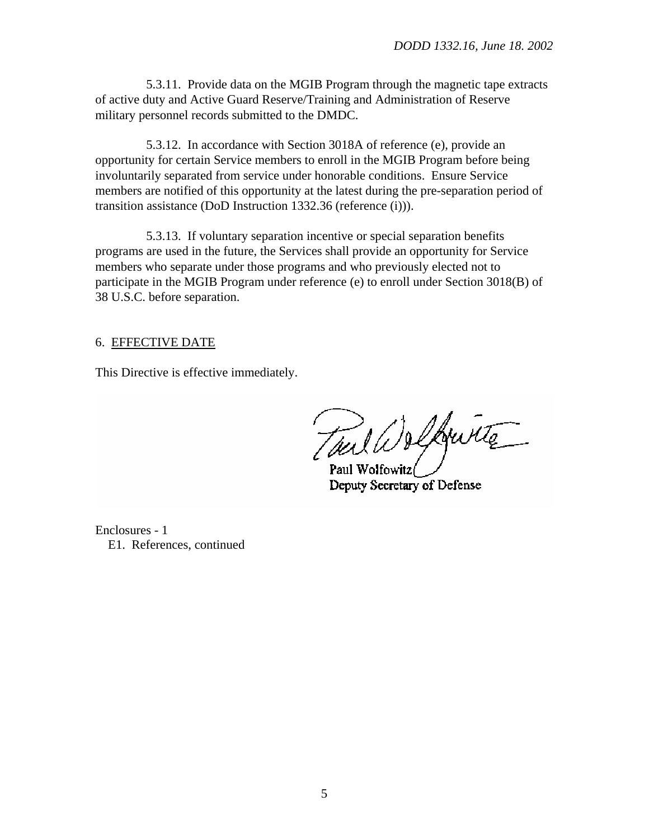5.3.11. Provide data on the MGIB Program through the magnetic tape extracts of active duty and Active Guard Reserve/Training and Administration of Reserve military personnel records submitted to the DMDC.

5.3.12. In accordance with Section 3018A of [reference \(e\),](#page-5-0) provide an opportunity for certain Service members to enroll in the MGIB Program before being involuntarily separated from service under honorable conditions. Ensure Service members are notified of this opportunity at the latest during the pre-separation period of transition assistance (DoD Instruction 1332.36 [\(reference \(i\)\)\).](#page-5-0)

5.3.13. If voluntary separation incentive or special separation benefits programs are used in the future, the Services shall provide an opportunity for Service members who separate under those programs and who previously elected not to participate in the MGIB Program under [reference \(e\)](#page-5-0) to enroll under Section 3018(B) of 38 U.S.C. before separation.

#### 6. EFFECTIVE DATE

This Directive is effective immediately.

Tuil Welkwitte

Deputy Secretary of Defense

Enclosures - 1 E1. References, continued